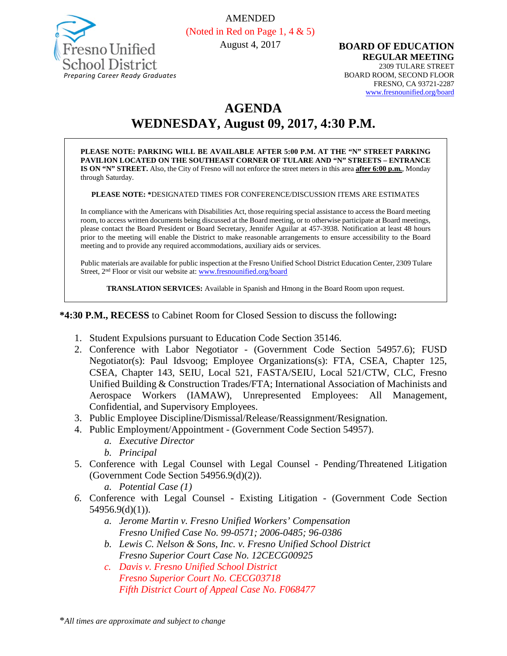

AMENDED (Noted in Red on Page 1, 4 & 5)

August 4, 2017

**BOARD OF EDUCATION REGULAR MEETING** 2309 TULARE STREET BOARD ROOM, SECOND FLOOR FRESNO, CA 93721-2287 [www.fresnounified.org/board](http://www.fresnounified.org/board)

# **AGENDA**

**WEDNESDAY, August 09, 2017, 4:30 P.M.**

**PLEASE NOTE: PARKING WILL BE AVAILABLE AFTER 5:00 P.M. AT THE "N" STREET PARKING PAVILION LOCATED ON THE SOUTHEAST CORNER OF TULARE AND "N" STREETS – ENTRANCE IS ON "N" STREET.** Also, the City of Fresno will not enforce the street meters in this area **after 6:00 p.m.**, Monday through Saturday.

**PLEASE NOTE: \***DESIGNATED TIMES FOR CONFERENCE/DISCUSSION ITEMS ARE ESTIMATES

In compliance with the Americans with Disabilities Act, those requiring special assistance to access the Board meeting room, to access written documents being discussed at the Board meeting, or to otherwise participate at Board meetings, please contact the Board President or Board Secretary, Jennifer Aguilar at 457-3938. Notification at least 48 hours prior to the meeting will enable the District to make reasonable arrangements to ensure accessibility to the Board meeting and to provide any required accommodations, auxiliary aids or services.

Public materials are available for public inspection at the Fresno Unified School District Education Center, 2309 Tulare Street, 2nd Floor or visit our website at: [www.fresnounified.org/board](http://www.fresnounified.org/board)

**TRANSLATION SERVICES:** Available in Spanish and Hmong in the Board Room upon request.

**\*4:30 P.M., RECESS** to Cabinet Room for Closed Session to discuss the following**:**

- 1. Student Expulsions pursuant to Education Code Section 35146.
- 2. Conference with Labor Negotiator (Government Code Section 54957.6); FUSD Negotiator(s): Paul Idsvoog; Employee Organizations(s): FTA, CSEA, Chapter 125, CSEA, Chapter 143, SEIU, Local 521, FASTA/SEIU, Local 521/CTW, CLC, Fresno Unified Building & Construction Trades/FTA; International Association of Machinists and Aerospace Workers (IAMAW), Unrepresented Employees: All Management, Confidential, and Supervisory Employees.
- 3. Public Employee Discipline/Dismissal/Release/Reassignment/Resignation.
- 4. Public Employment/Appointment (Government Code Section 54957).
	- *a. Executive Director*
	- *b. Principal*
- 5. Conference with Legal Counsel with Legal Counsel Pending/Threatened Litigation (Government Code Section 54956.9(d)(2)).
	- *a. Potential Case (1)*
- *6.* Conference with Legal Counsel Existing Litigation (Government Code Section 54956.9(d)(1)).
	- *a. Jerome Martin v. Fresno Unified Workers' Compensation Fresno Unified Case No. 99-0571; 2006-0485; 96-0386*
	- *b. Lewis C. Nelson & Sons, Inc. v. Fresno Unified School District Fresno Superior Court Case No. 12CECG00925*
	- *c. Davis v. Fresno Unified School District Fresno Superior Court No. CECG03718 Fifth District Court of Appeal Case No. F068477*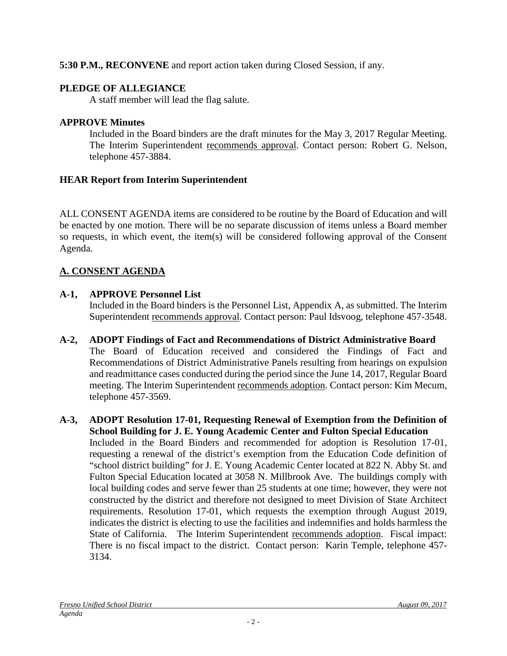# **5:30 P.M., RECONVENE** and report action taken during Closed Session, if any.

# **PLEDGE OF ALLEGIANCE**

A staff member will lead the flag salute.

# **APPROVE Minutes**

Included in the Board binders are the draft minutes for the May 3, 2017 Regular Meeting. The Interim Superintendent recommends approval. Contact person: Robert G. Nelson, telephone 457-3884.

# **HEAR Report from Interim Superintendent**

ALL CONSENT AGENDA items are considered to be routine by the Board of Education and will be enacted by one motion. There will be no separate discussion of items unless a Board member so requests, in which event, the item(s) will be considered following approval of the Consent Agenda.

# **A. CONSENT AGENDA**

# **A-1, APPROVE Personnel List**

Included in the Board binders is the Personnel List, Appendix A, as submitted. The Interim Superintendent recommends approval. Contact person: Paul Idsvoog, telephone 457-3548.

- **A-2, ADOPT Findings of Fact and Recommendations of District Administrative Board** The Board of Education received and considered the Findings of Fact and Recommendations of District Administrative Panels resulting from hearings on expulsion and readmittance cases conducted during the period since the June 14, 2017, Regular Board meeting. The Interim Superintendent recommends adoption. Contact person: Kim Mecum, telephone 457-3569.
- **A-3, ADOPT Resolution 17-01, Requesting Renewal of Exemption from the Definition of School Building for J. E. Young Academic Center and Fulton Special Education** Included in the Board Binders and recommended for adoption is Resolution 17-01, requesting a renewal of the district's exemption from the Education Code definition of "school district building" for J. E. Young Academic Center located at 822 N. Abby St. and Fulton Special Education located at 3058 N. Millbrook Ave. The buildings comply with local building codes and serve fewer than 25 students at one time; however, they were not constructed by the district and therefore not designed to meet Division of State Architect requirements. Resolution 17-01, which requests the exemption through August 2019, indicates the district is electing to use the facilities and indemnifies and holds harmless the State of California. The Interim Superintendent recommends adoption. Fiscal impact: There is no fiscal impact to the district. Contact person: Karin Temple, telephone 457- 3134.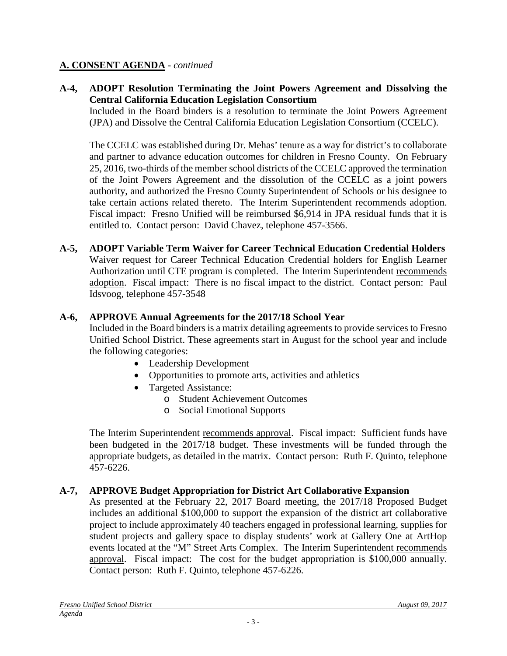## **A-4, ADOPT Resolution Terminating the Joint Powers Agreement and Dissolving the Central California Education Legislation Consortium**

Included in the Board binders is a resolution to terminate the Joint Powers Agreement (JPA) and Dissolve the Central California Education Legislation Consortium (CCELC).

The CCELC was established during Dr. Mehas' tenure as a way for district's to collaborate and partner to advance education outcomes for children in Fresno County. On February 25, 2016, two-thirds of the member school districts of the CCELC approved the termination of the Joint Powers Agreement and the dissolution of the CCELC as a joint powers authority, and authorized the Fresno County Superintendent of Schools or his designee to take certain actions related thereto. The Interim Superintendent recommends adoption. Fiscal impact: Fresno Unified will be reimbursed \$6,914 in JPA residual funds that it is entitled to. Contact person: David Chavez, telephone 457-3566.

#### **A-5, ADOPT Variable Term Waiver for Career Technical Education Credential Holders** Waiver request for Career Technical Education Credential holders for English Learner Authorization until CTE program is completed. The Interim Superintendent recommends adoption. Fiscal impact: There is no fiscal impact to the district. Contact person: Paul Idsvoog, telephone 457-3548

## **A-6, APPROVE Annual Agreements for the 2017/18 School Year**

Included in the Board binders is a matrix detailing agreements to provide services to Fresno Unified School District. These agreements start in August for the school year and include the following categories:

- Leadership Development
- Opportunities to promote arts, activities and athletics
- Targeted Assistance:
	- o Student Achievement Outcomes
	- o Social Emotional Supports

The Interim Superintendent recommends approval. Fiscal impact: Sufficient funds have been budgeted in the 2017/18 budget. These investments will be funded through the appropriate budgets, as detailed in the matrix. Contact person: Ruth F. Quinto, telephone 457-6226.

## **A-7, APPROVE Budget Appropriation for District Art Collaborative Expansion**

As presented at the February 22, 2017 Board meeting, the 2017/18 Proposed Budget includes an additional \$100,000 to support the expansion of the district art collaborative project to include approximately 40 teachers engaged in professional learning, supplies for student projects and gallery space to display students' work at Gallery One at ArtHop events located at the "M" Street Arts Complex. The Interim Superintendent recommends approval. Fiscal impact: The cost for the budget appropriation is \$100,000 annually. Contact person: Ruth F. Quinto, telephone 457-6226.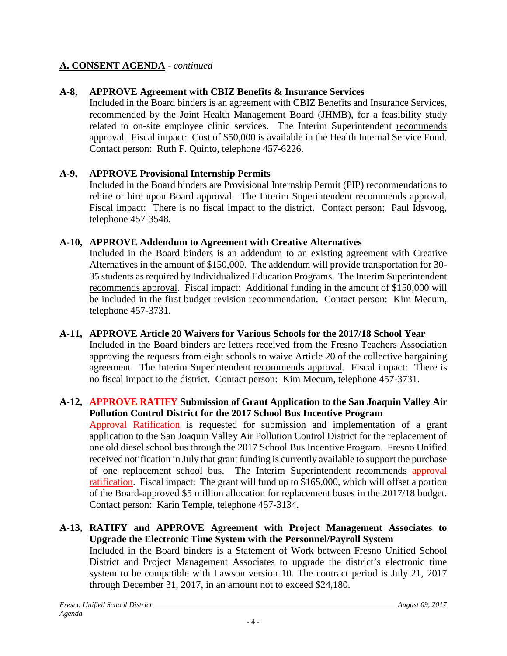# **A-8, APPROVE Agreement with CBIZ Benefits & Insurance Services**

Included in the Board binders is an agreement with CBIZ Benefits and Insurance Services, recommended by the Joint Health Management Board (JHMB), for a feasibility study related to on-site employee clinic services. The Interim Superintendent recommends approval. Fiscal impact: Cost of \$50,000 is available in the Health Internal Service Fund. Contact person: Ruth F. Quinto, telephone 457-6226.

# **A-9, APPROVE Provisional Internship Permits**

Included in the Board binders are Provisional Internship Permit (PIP) recommendations to rehire or hire upon Board approval. The Interim Superintendent recommends approval. Fiscal impact: There is no fiscal impact to the district. Contact person: Paul Idsvoog, telephone 457-3548.

# **A-10, APPROVE Addendum to Agreement with Creative Alternatives**

Included in the Board binders is an addendum to an existing agreement with Creative Alternatives in the amount of \$150,000. The addendum will provide transportation for 30- 35 students as required by Individualized Education Programs. The Interim Superintendent recommends approval. Fiscal impact: Additional funding in the amount of \$150,000 will be included in the first budget revision recommendation. Contact person: Kim Mecum, telephone 457-3731.

# **A-11, APPROVE Article 20 Waivers for Various Schools for the 2017/18 School Year**

Included in the Board binders are letters received from the Fresno Teachers Association approving the requests from eight schools to waive Article 20 of the collective bargaining agreement. The Interim Superintendent recommends approval. Fiscal impact: There is no fiscal impact to the district. Contact person: Kim Mecum, telephone 457-3731.

## **A-12, APPROVE RATIFY Submission of Grant Application to the San Joaquin Valley Air Pollution Control District for the 2017 School Bus Incentive Program**

Approval Ratification is requested for submission and implementation of a grant application to the San Joaquin Valley Air Pollution Control District for the replacement of one old diesel school bus through the 2017 School Bus Incentive Program. Fresno Unified received notification in July that grant funding is currently available to support the purchase of one replacement school bus. The Interim Superintendent recommends approval ratification. Fiscal impact: The grant will fund up to \$165,000, which will offset a portion of the Board-approved \$5 million allocation for replacement buses in the 2017/18 budget. Contact person: Karin Temple, telephone 457-3134.

## **A-13, RATIFY and APPROVE Agreement with Project Management Associates to Upgrade the Electronic Time System with the Personnel/Payroll System**

Included in the Board binders is a Statement of Work between Fresno Unified School District and Project Management Associates to upgrade the district's electronic time system to be compatible with Lawson version 10. The contract period is July 21, 2017 through December 31, 2017, in an amount not to exceed \$24,180.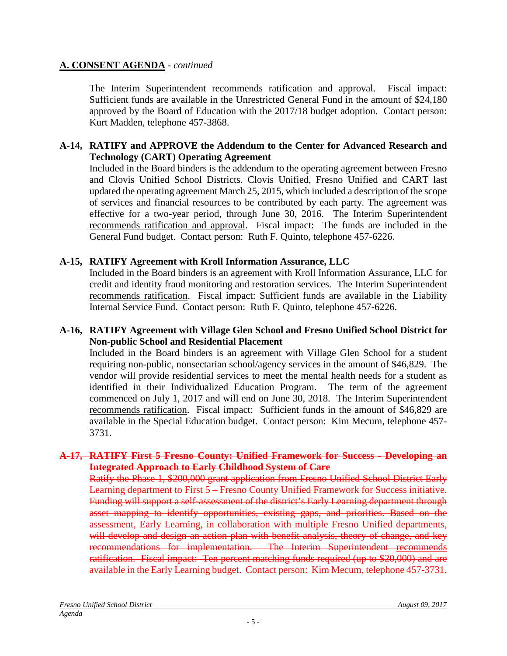The Interim Superintendent recommends ratification and approval. Fiscal impact: Sufficient funds are available in the Unrestricted General Fund in the amount of \$24,180 approved by the Board of Education with the 2017/18 budget adoption. Contact person: Kurt Madden, telephone 457-3868.

## **A-14, RATIFY and APPROVE the Addendum to the Center for Advanced Research and Technology (CART) Operating Agreement**

Included in the Board binders is the addendum to the operating agreement between Fresno and Clovis Unified School Districts. Clovis Unified, Fresno Unified and CART last updated the operating agreement March 25, 2015, which included a description of the scope of services and financial resources to be contributed by each party. The agreement was effective for a two-year period, through June 30, 2016. The Interim Superintendent recommends ratification and approval. Fiscal impact: The funds are included in the General Fund budget. Contact person: Ruth F. Quinto, telephone 457-6226.

## **A-15, RATIFY Agreement with Kroll Information Assurance, LLC**

Included in the Board binders is an agreement with Kroll Information Assurance, LLC for credit and identity fraud monitoring and restoration services. The Interim Superintendent recommends ratification. Fiscal impact: Sufficient funds are available in the Liability Internal Service Fund. Contact person: Ruth F. Quinto, telephone 457-6226.

## **A-16, RATIFY Agreement with Village Glen School and Fresno Unified School District for Non-public School and Residential Placement**

Included in the Board binders is an agreement with Village Glen School for a student requiring non-public, nonsectarian school/agency services in the amount of \$46,829. The vendor will provide residential services to meet the mental health needs for a student as identified in their Individualized Education Program. The term of the agreement commenced on July 1, 2017 and will end on June 30, 2018. The Interim Superintendent recommends ratification. Fiscal impact: Sufficient funds in the amount of \$46,829 are available in the Special Education budget. Contact person: Kim Mecum, telephone 457- 3731.

## **A-17, RATIFY First 5 Fresno County: Unified Framework for Success - Developing an Integrated Approach to Early Childhood System of Care**

Ratify the Phase 1, \$200,000 grant application from Fresno Unified School District Early Learning department to First 5 – Fresno County Unified Framework for Success initiative. Funding will support a self-assessment of the district's Early Learning department through asset mapping to identify opportunities, existing gaps, and priorities. Based on the assessment, Early Learning, in collaboration with multiple Fresno Unified departments, will develop and design an action plan with benefit analysis, theory of change, and key recommendations for implementation. The Interim Superintendent recommends ratification. Fiscal impact: Ten percent matching funds required (up to \$20,000) and are available in the Early Learning budget. Contact person: Kim Mecum, telephone 457-3731.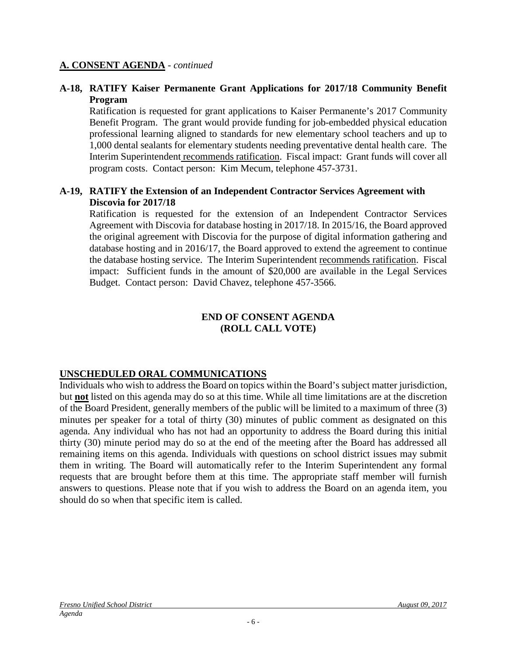## **A-18, RATIFY Kaiser Permanente Grant Applications for 2017/18 Community Benefit Program**

Ratification is requested for grant applications to Kaiser Permanente's 2017 Community Benefit Program. The grant would provide funding for job-embedded physical education professional learning aligned to standards for new elementary school teachers and up to 1,000 dental sealants for elementary students needing preventative dental health care. The Interim Superintendent recommends ratification. Fiscal impact: Grant funds will cover all program costs. Contact person: Kim Mecum, telephone 457-3731.

## **A-19, RATIFY the Extension of an Independent Contractor Services Agreement with Discovia for 2017/18**

Ratification is requested for the extension of an Independent Contractor Services Agreement with Discovia for database hosting in 2017/18. In 2015/16, the Board approved the original agreement with Discovia for the purpose of digital information gathering and database hosting and in 2016/17, the Board approved to extend the agreement to continue the database hosting service. The Interim Superintendent recommends ratification. Fiscal impact: Sufficient funds in the amount of \$20,000 are available in the Legal Services Budget. Contact person: David Chavez, telephone 457-3566.

#### **END OF CONSENT AGENDA (ROLL CALL VOTE)**

# **UNSCHEDULED ORAL COMMUNICATIONS**

Individuals who wish to address the Board on topics within the Board's subject matter jurisdiction, but **not** listed on this agenda may do so at this time. While all time limitations are at the discretion of the Board President, generally members of the public will be limited to a maximum of three (3) minutes per speaker for a total of thirty (30) minutes of public comment as designated on this agenda. Any individual who has not had an opportunity to address the Board during this initial thirty (30) minute period may do so at the end of the meeting after the Board has addressed all remaining items on this agenda. Individuals with questions on school district issues may submit them in writing. The Board will automatically refer to the Interim Superintendent any formal requests that are brought before them at this time. The appropriate staff member will furnish answers to questions. Please note that if you wish to address the Board on an agenda item, you should do so when that specific item is called.